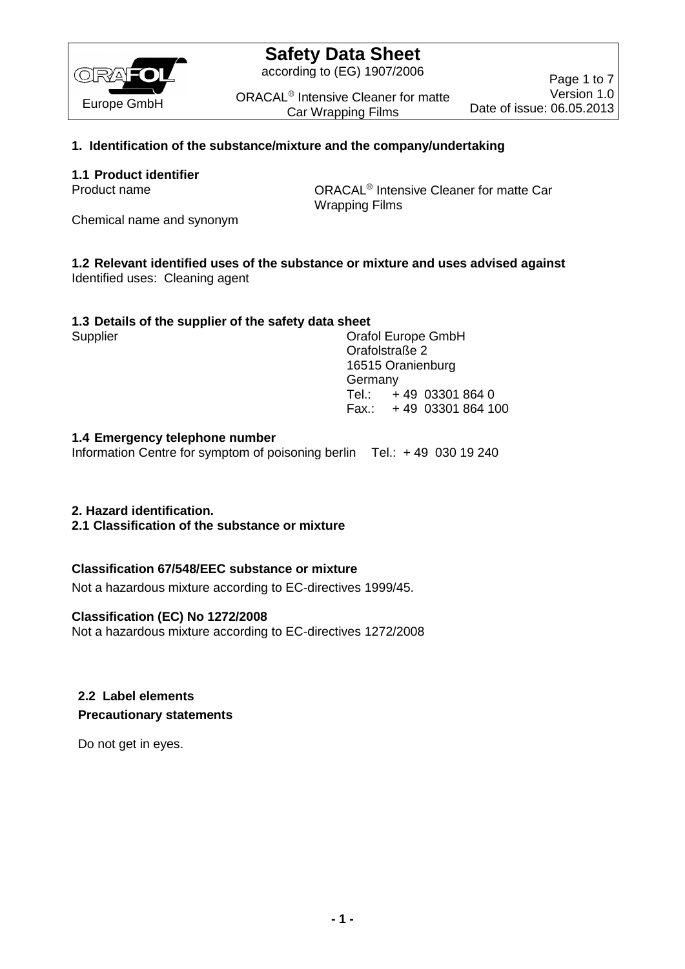

according to (EG) 1907/2006

ORACAL<sup>®</sup> Intensive Cleaner for matte Car Wrapping Films

Page 1 to 7 Version 1.0 Date of issue: 06.05.2013

## **1. Identification of the substance/mixture and the company/undertaking**

## **1.1 Product identifier**

Product name **ORACAL<sup>®</sup>** Intensive Cleaner for matte Car Wrapping Films

Chemical name and synonym

#### **1.2 Relevant identified uses of the substance or mixture and uses advised against** Identified uses: Cleaning agent

## **1.3 Details of the supplier of the safety data sheet**

Supplier Current Constants Craft Current Constants Craft Current Constants Craft Current Current Current Current Current Current Current Current Current Current Current Current Current Current Current Current Current Curre Orafolstraße 2 16515 Oranienburg Germany Tel.: + 49 03301 864 0 Fax.: + 49 03301 864 100

## **1.4 Emergency telephone number**

Information Centre for symptom of poisoning berlin Tel.: + 49 030 19 240

### **2. Hazard identification.**

**2.1 Classification of the substance or mixture**

### **Classification 67/548/EEC substance or mixture**

Not a hazardous mixture according to EC-directives 1999/45.

### **Classification (EC) No 1272/2008**

Not a hazardous mixture according to EC-directives 1272/2008

## **2.2 Label elements Precautionary statements**

Do not get in eyes.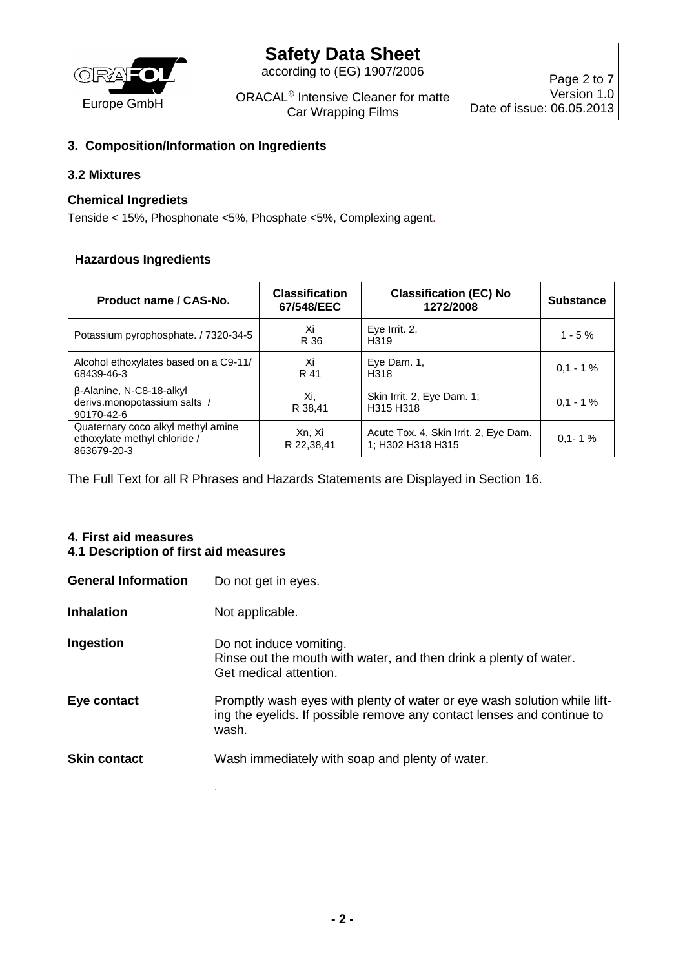

according to (EG) 1907/2006

ORACAL<sup>®</sup> Intensive Cleaner for matte Car Wrapping Films

## **3. Composition/Information on Ingredients**

#### **3.2 Mixtures**

#### **Chemical Ingrediets**

Tenside < 15%, Phosphonate <5%, Phosphate <5%, Complexing agent.

#### **Hazardous Ingredients**

| Product name / CAS-No.                                                            | <b>Classification</b><br>67/548/EEC | <b>Classification (EC) No</b><br>1272/2008                 | <b>Substance</b> |
|-----------------------------------------------------------------------------------|-------------------------------------|------------------------------------------------------------|------------------|
| Potassium pyrophosphate. / 7320-34-5                                              | Xi<br>R 36                          | Eye Irrit. 2.<br>H <sub>319</sub>                          | $1 - 5%$         |
| Alcohol ethoxylates based on a C9-11/<br>68439-46-3                               | Xi<br>R 41                          | Eye Dam. 1,<br>H318                                        | $0.1 - 1\%$      |
| B-Alanine, N-C8-18-alkyl<br>derivs.monopotassium salts /<br>90170-42-6            | Xi.<br>R 38.41                      | Skin Irrit. 2, Eye Dam. 1;<br>H315 H318                    | $0.1 - 1\%$      |
| Quaternary coco alkyl methyl amine<br>ethoxylate methyl chloride /<br>863679-20-3 | Xn, Xi<br>R 22,38,41                | Acute Tox. 4, Skin Irrit. 2, Eye Dam.<br>1; H302 H318 H315 | $0.1 - 1%$       |

The Full Text for all R Phrases and Hazards Statements are Displayed in Section 16.

# **4. First aid measures**

# **4.1 Description of first aid measures**

.

| <b>General Information</b> | Do not get in eyes.                                                                                                                                         |
|----------------------------|-------------------------------------------------------------------------------------------------------------------------------------------------------------|
| <b>Inhalation</b>          | Not applicable.                                                                                                                                             |
| Ingestion                  | Do not induce vomiting.<br>Rinse out the mouth with water, and then drink a plenty of water.<br>Get medical attention.                                      |
| Eye contact                | Promptly wash eyes with plenty of water or eye wash solution while lift-<br>ing the eyelids. If possible remove any contact lenses and continue to<br>wash. |
| <b>Skin contact</b>        | Wash immediately with soap and plenty of water.                                                                                                             |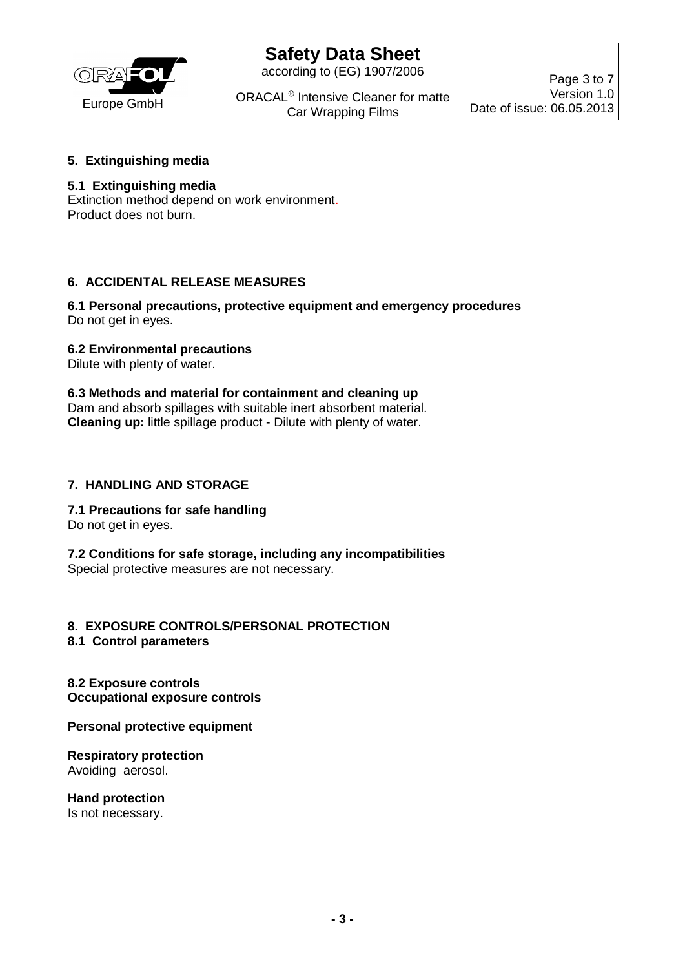

according to (EG) 1907/2006

ORACAL<sup>®</sup> Intensive Cleaner for matte Car Wrapping Films

Page 3 to 7 Version 1.0 Date of issue: 06.05.2013

### **5. Extinguishing media**

### **5.1 Extinguishing media**

Extinction method depend on work environment. Product does not burn.

## **6. ACCIDENTAL RELEASE MEASURES**

#### **6.1 Personal precautions, protective equipment and emergency procedures** Do not get in eyes.

## **6.2 Environmental precautions**

Dilute with plenty of water.

**6.3 Methods and material for containment and cleaning up** Dam and absorb spillages with suitable inert absorbent material. **Cleaning up:** little spillage product - Dilute with plenty of water.

## **7. HANDLING AND STORAGE**

### **7.1 Precautions for safe handling**

Do not get in eyes.

**7.2 Conditions for safe storage, including any incompatibilities** Special protective measures are not necessary.

# **8. EXPOSURE CONTROLS/PERSONAL PROTECTION**

**8.1 Control parameters**

**8.2 Exposure controls Occupational exposure controls**

**Personal protective equipment**

**Respiratory protection** Avoiding aerosol.

**Hand protection** Is not necessary.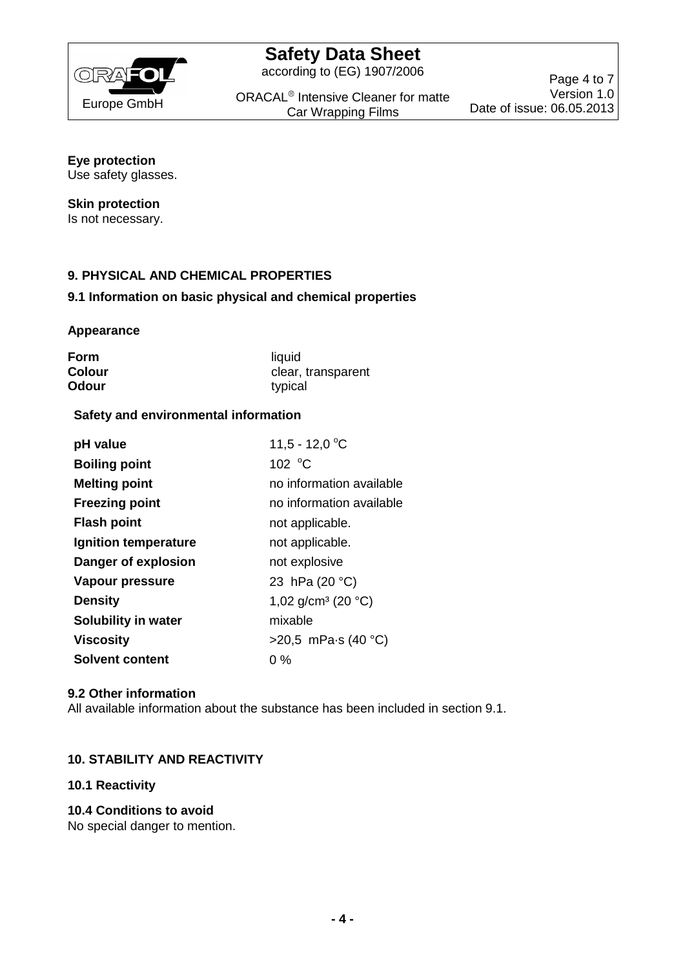

according to (EG) 1907/2006

ORACAL<sup>®</sup> Intensive Cleaner for matte Car Wrapping Films

Page 4 to 7 Version 1.0 Date of issue: 06.05.2013

# **Eye protection**

Use safety glasses.

#### **Skin protection**

Is not necessary.

## **9. PHYSICAL AND CHEMICAL PROPERTIES**

### **9.1 Information on basic physical and chemical properties**

#### **Appearance**

| Form   | liquid             |
|--------|--------------------|
| Colour | clear, transparent |
| Odour  | typical            |

#### **Safety and environmental information**

| pH value                   | 11,5 - 12,0 °C                           |
|----------------------------|------------------------------------------|
| <b>Boiling point</b>       | 102 $\degree$ C                          |
| <b>Melting point</b>       | no information available                 |
| <b>Freezing point</b>      | no information available                 |
| <b>Flash point</b>         | not applicable.                          |
| Ignition temperature       | not applicable.                          |
| Danger of explosion        | not explosive                            |
| Vapour pressure            | 23 hPa (20 °C)                           |
| <b>Density</b>             | 1,02 g/cm <sup>3</sup> (20 $^{\circ}$ C) |
| <b>Solubility in water</b> | mixable                                  |
| <b>Viscosity</b>           | >20,5 mPa $\cdot$ s (40 °C)              |
| <b>Solvent content</b>     | 0 %                                      |

#### **9.2 Other information**

All available information about the substance has been included in section 9.1.

### **10. STABILITY AND REACTIVITY**

### **10.1 Reactivity**

### **10.4 Conditions to avoid**

No special danger to mention.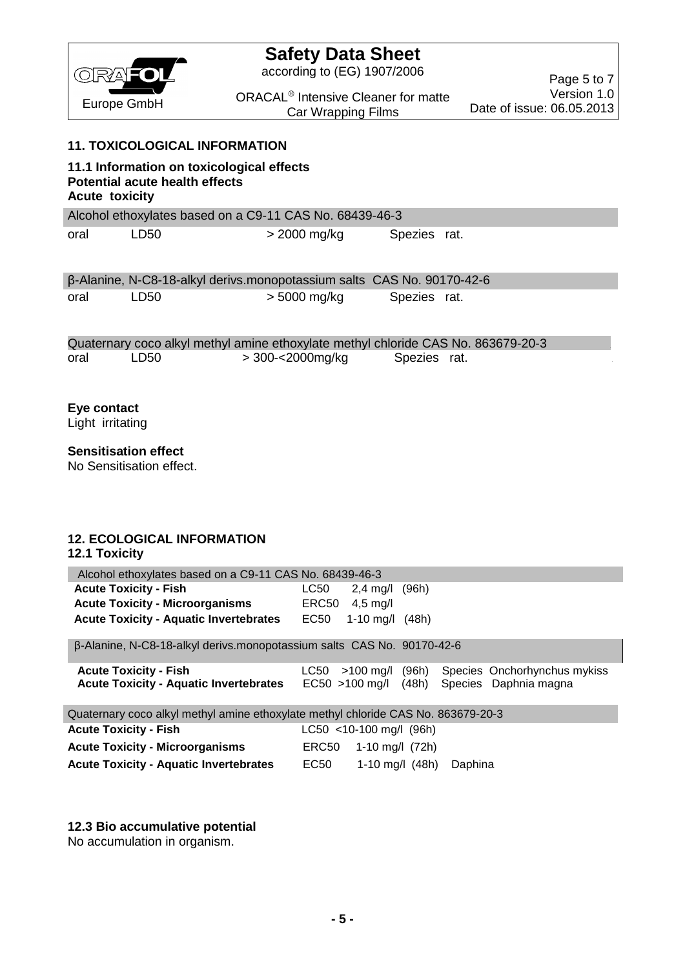

according to (EG) 1907/2006

Page 5 to 7 Version 1.0 Date of issue: 06.05.2013

ORACAL<sup>®</sup> Intensive Cleaner for matte Car Wrapping Films

### **11. TOXICOLOGICAL INFORMATION**

# **11.1 Information on toxicological effects Potential acute health effects Acute toxicity** Alcohol ethoxylates based on a C9-11 CAS No. 68439-46-3 oral LD50 > 2000 mg/kg Spezies rat.

|      |      | β-Alanine, N-C8-18-alkyl derivs.monopotassium salts CAS No. 90170-42-6 |              |  |
|------|------|------------------------------------------------------------------------|--------------|--|
| oral | LD50 | > 5000 mg/kg                                                           | Spezies rat. |  |

|      |      |                  | Quaternary coco alkyl methyl amine ethoxylate methyl chloride CAS No. 863679-20-3 |  |
|------|------|------------------|-----------------------------------------------------------------------------------|--|
| oral | LD50 | > 300-<2000mg/kg | Spezies rat.                                                                      |  |

# **Eye contact**

Light irritating

## **Sensitisation effect**

No Sensitisation effect.

## **12. ECOLOGICAL INFORMATION**

### **12.1 Toxicity**

| Alcohol ethoxylates based on a C9-11 CAS No. 68439-46-3                           |       |                           |         |                                                                            |
|-----------------------------------------------------------------------------------|-------|---------------------------|---------|----------------------------------------------------------------------------|
| <b>Acute Toxicity - Fish</b>                                                      | LC50  | $2,4$ mg/l $(96h)$        |         |                                                                            |
| <b>Acute Toxicity - Microorganisms</b>                                            | ERC50 | $4.5 \text{ mg/l}$        |         |                                                                            |
| <b>Acute Toxicity - Aquatic Invertebrates EC50</b>                                |       | 1-10 mg/l $(48h)$         |         |                                                                            |
| β-Alanine, N-C8-18-alkyl derivs.monopotassium salts CAS No. 90170-42-6            |       |                           |         |                                                                            |
| <b>Acute Toxicity - Fish</b><br><b>Acute Toxicity - Aquatic Invertebrates</b>     | LC50  | $>100$ mg/l (96h)         |         | Species Onchorhynchus mykiss<br>EC50 >100 mg/l (48h) Species Daphnia magna |
| Quaternary coco alkyl methyl amine ethoxylate methyl chloride CAS No. 863679-20-3 |       |                           |         |                                                                            |
| <b>Acute Toxicity - Fish</b>                                                      |       | $LC50$ <10-100 mg/l (96h) |         |                                                                            |
| <b>Acute Toxicity - Microorganisms</b>                                            | ERC50 | 1-10 mg/l $(72h)$         |         |                                                                            |
| <b>Acute Toxicity - Aquatic Invertebrates</b>                                     | EC50  | 1-10 mg/l $(48h)$         | Daphina |                                                                            |

#### **12.3 Bio accumulative potential**

No accumulation in organism.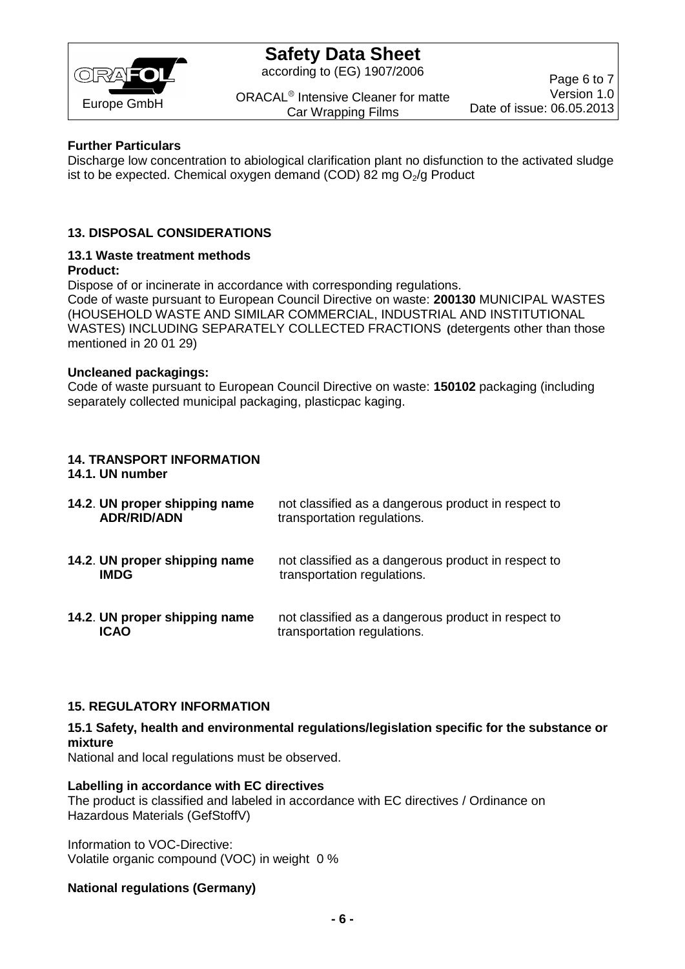

according to (EG) 1907/2006

ORACAL<sup>®</sup> Intensive Cleaner for matte Car Wrapping Films

Page 6 to 7 Version 1.0 Date of issue: 06.05.2013

### **Further Particulars**

Discharge low concentration to abiological clarification plant no disfunction to the activated sludge ist to be expected. Chemical oxygen demand (COD) 82 mg  $O<sub>2</sub>/g$  Product

## **13. DISPOSAL CONSIDERATIONS**

#### **13.1 Waste treatment methods Product:**

Dispose of or incinerate in accordance with corresponding regulations. Code of waste pursuant to European Council Directive on waste: **200130** MUNICIPAL WASTES (HOUSEHOLD WASTE AND SIMILAR COMMERCIAL, INDUSTRIAL AND INSTITUTIONAL WASTES) INCLUDING SEPARATELY COLLECTED FRACTIONS **(**detergents other than those mentioned in 20 01 29)

#### **Uncleaned packagings:**

Code of waste pursuant to European Council Directive on waste: **150102** packaging (including separately collected municipal packaging, plasticpac kaging.

## **14. TRANSPORT INFORMATION**

#### **14.1. UN number**

**14.2**. **UN proper shipping name** not classified as a dangerous product in respect to **ADR/RID/ADN** transportation regulations. **14.2**. **UN proper shipping name** not classified as a dangerous product in respect to transportation regulations. **14.2**. **UN proper shipping name** not classified as a dangerous product in respect to **ICAO** transportation regulations.

## **15. REGULATORY INFORMATION**

### **15.1 Safety, health and environmental regulations/legislation specific for the substance or mixture**

National and local regulations must be observed.

#### **Labelling in accordance with EC directives**

The product is classified and labeled in accordance with EC directives / Ordinance on Hazardous Materials (GefStoffV)

Information to VOC-Directive: Volatile organic compound (VOC) in weight 0 %

### **National regulations (Germany)**